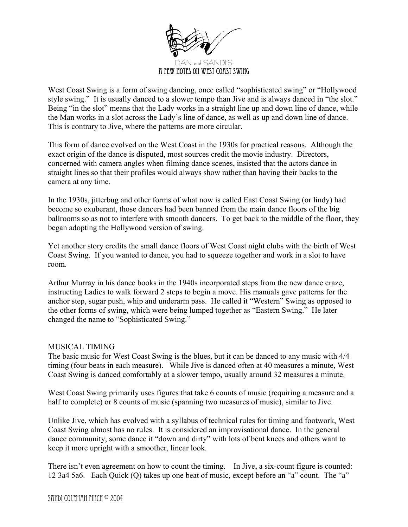

West Coast Swing is a form of swing dancing, once called "sophisticated swing" or "Hollywood style swing." It is usually danced to a slower tempo than Jive and is always danced in "the slot." Being "in the slot" means that the Lady works in a straight line up and down line of dance, while the Man works in a slot across the Lady's line of dance, as well as up and down line of dance. This is contrary to Jive, where the patterns are more circular.

This form of dance evolved on the West Coast in the 1930s for practical reasons. Although the exact origin of the dance is disputed, most sources credit the movie industry. Directors, concerned with camera angles when filming dance scenes, insisted that the actors dance in straight lines so that their profiles would always show rather than having their backs to the camera at any time.

In the 1930s, jitterbug and other forms of what now is called East Coast Swing (or lindy) had become so exuberant, those dancers had been banned from the main dance floors of the big ballrooms so as not to interfere with smooth dancers. To get back to the middle of the floor, they began adopting the Hollywood version of swing.

Yet another story credits the small dance floors of West Coast night clubs with the birth of West Coast Swing. If you wanted to dance, you had to squeeze together and work in a slot to have room.

Arthur Murray in his dance books in the 1940s incorporated steps from the new dance craze, instructing Ladies to walk forward 2 steps to begin a move. His manuals gave patterns for the anchor step, sugar push, whip and underarm pass. He called it "Western" Swing as opposed to the other forms of swing, which were being lumped together as "Eastern Swing." He later changed the name to "Sophisticated Swing."

### MUSICAL TIMING

The basic music for West Coast Swing is the blues, but it can be danced to any music with 4/4 timing (four beats in each measure). While Jive is danced often at 40 measures a minute, West Coast Swing is danced comfortably at a slower tempo, usually around 32 measures a minute.

West Coast Swing primarily uses figures that take 6 counts of music (requiring a measure and a half to complete) or 8 counts of music (spanning two measures of music), similar to Jive.

Unlike Jive, which has evolved with a syllabus of technical rules for timing and footwork, West Coast Swing almost has no rules. It is considered an improvisational dance. In the general dance community, some dance it "down and dirty" with lots of bent knees and others want to keep it more upright with a smoother, linear look.

There isn't even agreement on how to count the timing. In Jive, a six-count figure is counted: 12 3a4 5a6. Each Quick (Q) takes up one beat of music, except before an "a" count. The "a"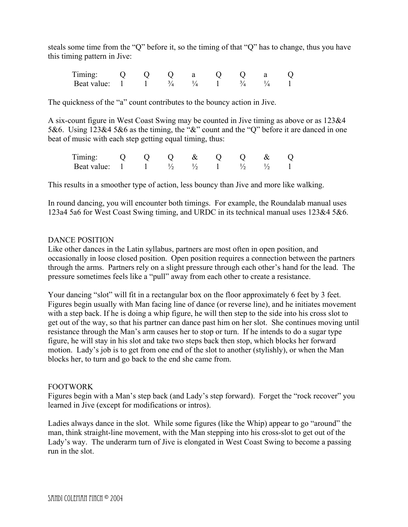steals some time from the "Q" before it, so the timing of that "Q" has to change, thus you have this timing pattern in Jive:

Timing: Q Q Q a Q Q a Q Beat value:  $1 \t 1 \t 3/4 \t 1/4 \t 1 \t 3/4 \t 1/4 \t 1$ 

The quickness of the "a" count contributes to the bouncy action in Jive.

A six-count figure in West Coast Swing may be counted in Jive timing as above or as 123&4 5&6. Using 123&4 5&6 as the timing, the "&" count and the "Q" before it are danced in one beat of music with each step getting equal timing, thus:

|                           |  | $\bigcirc$ |  |               |  |
|---------------------------|--|------------|--|---------------|--|
| Beat value: $1 \t 1 \t 1$ |  |            |  | $\frac{1}{2}$ |  |

This results in a smoother type of action, less bouncy than Jive and more like walking.

In round dancing, you will encounter both timings. For example, the Roundalab manual uses 123a4 5a6 for West Coast Swing timing, and URDC in its technical manual uses 123&4 5&6.

## DANCE POSITION

Like other dances in the Latin syllabus, partners are most often in open position, and occasionally in loose closed position. Open position requires a connection between the partners through the arms. Partners rely on a slight pressure through each other's hand for the lead. The pressure sometimes feels like a "pull" away from each other to create a resistance.

Your dancing "slot" will fit in a rectangular box on the floor approximately 6 feet by 3 feet. Figures begin usually with Man facing line of dance (or reverse line), and he initiates movement with a step back. If he is doing a whip figure, he will then step to the side into his cross slot to get out of the way, so that his partner can dance past him on her slot. She continues moving until resistance through the Man's arm causes her to stop or turn. If he intends to do a sugar type figure, he will stay in his slot and take two steps back then stop, which blocks her forward motion. Lady's job is to get from one end of the slot to another (stylishly), or when the Man blocks her, to turn and go back to the end she came from.

# FOOTWORK

Figures begin with a Man's step back (and Lady's step forward). Forget the "rock recover" you learned in Jive (except for modifications or intros).

Ladies always dance in the slot. While some figures (like the Whip) appear to go "around" the man, think straight-line movement, with the Man stepping into his cross-slot to get out of the Lady's way. The underarm turn of Jive is elongated in West Coast Swing to become a passing run in the slot.